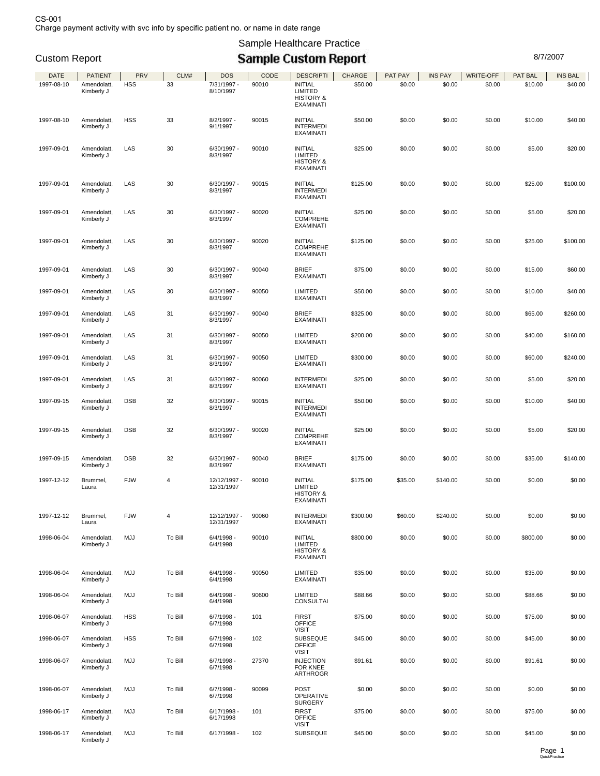Sample Healthcare Practice

## Custom Report **Custom Custom Report Custom Report Custom Report Custom Report**

| <b>DATE</b> | <b>PATIENT</b>            | <b>PRV</b> | CLM#    | <b>DOS</b>                 | CODE  | <b>DESCRIPTI</b>                                                      | CHARGE   | PAT PAY | <b>INS PAY</b> | <b>WRITE-OFF</b> | PAT BAL  | INS BAL  |
|-------------|---------------------------|------------|---------|----------------------------|-------|-----------------------------------------------------------------------|----------|---------|----------------|------------------|----------|----------|
| 1997-08-10  | Amendolatt,               | <b>HSS</b> | 33      | 7/31/1997 -                | 90010 | <b>INITIAL</b>                                                        | \$50.00  | \$0.00  | \$0.00         | \$0.00           | \$10.00  | \$40.00  |
|             | Kimberly J                |            |         | 8/10/1997                  |       | LIMITED<br><b>HISTORY &amp;</b><br><b>EXAMINATI</b>                   |          |         |                |                  |          |          |
| 1997-08-10  | Amendolatt,<br>Kimberly J | <b>HSS</b> | 33      | $8/2/1997 -$<br>9/1/1997   | 90015 | <b>INITIAL</b><br><b>INTERMEDI</b><br>EXAMINATI                       | \$50.00  | \$0.00  | \$0.00         | \$0.00           | \$10.00  | \$40.00  |
| 1997-09-01  | Amendolatt,               | LAS        | 30      | $6/30/1997 -$              | 90010 | <b>INITIAL</b>                                                        | \$25.00  | \$0.00  | \$0.00         | \$0.00           | \$5.00   | \$20.00  |
|             | Kimberly J                |            |         | 8/3/1997                   |       | LIMITED<br><b>HISTORY &amp;</b><br><b>EXAMINATI</b>                   |          |         |                |                  |          |          |
| 1997-09-01  | Amendolatt,<br>Kimberly J | LAS        | 30      | 6/30/1997 -<br>8/3/1997    | 90015 | <b>INITIAL</b><br><b>INTERMEDI</b><br><b>EXAMINATI</b>                | \$125.00 | \$0.00  | \$0.00         | \$0.00           | \$25.00  | \$100.00 |
| 1997-09-01  | Amendolatt,<br>Kimberly J | LAS        | 30      | $6/30/1997 -$<br>8/3/1997  | 90020 | <b>INITIAL</b><br><b>COMPREHE</b><br><b>EXAMINATI</b>                 | \$25.00  | \$0.00  | \$0.00         | \$0.00           | \$5.00   | \$20.00  |
| 1997-09-01  | Amendolatt,<br>Kimberly J | LAS        | 30      | $6/30/1997 -$<br>8/3/1997  | 90020 | <b>INITIAL</b><br><b>COMPREHE</b><br><b>EXAMINATI</b>                 | \$125.00 | \$0.00  | \$0.00         | \$0.00           | \$25.00  | \$100.00 |
| 1997-09-01  | Amendolatt,<br>Kimberly J | LAS        | 30      | 6/30/1997 -<br>8/3/1997    | 90040 | <b>BRIEF</b><br>EXAMINATI                                             | \$75.00  | \$0.00  | \$0.00         | \$0.00           | \$15.00  | \$60.00  |
| 1997-09-01  | Amendolatt.<br>Kimberly J | LAS        | 30      | 6/30/1997 -<br>8/3/1997    | 90050 | LIMITED<br>EXAMINATI                                                  | \$50.00  | \$0.00  | \$0.00         | \$0.00           | \$10.00  | \$40.00  |
| 1997-09-01  | Amendolatt,<br>Kimberly J | LAS        | 31      | 6/30/1997 -<br>8/3/1997    | 90040 | <b>BRIEF</b><br>EXAMINATI                                             | \$325.00 | \$0.00  | \$0.00         | \$0.00           | \$65.00  | \$260.00 |
| 1997-09-01  | Amendolatt,<br>Kimberly J | LAS        | 31      | 6/30/1997 -<br>8/3/1997    | 90050 | LIMITED<br>EXAMINATI                                                  | \$200.00 | \$0.00  | \$0.00         | \$0.00           | \$40.00  | \$160.00 |
| 1997-09-01  | Amendolatt,<br>Kimberly J | LAS        | 31      | 6/30/1997 -<br>8/3/1997    | 90050 | LIMITED<br>EXAMINATI                                                  | \$300.00 | \$0.00  | \$0.00         | \$0.00           | \$60.00  | \$240.00 |
| 1997-09-01  | Amendolatt,<br>Kimberly J | LAS        | 31      | $6/30/1997 -$<br>8/3/1997  | 90060 | <b>INTERMEDI</b><br><b>EXAMINATI</b>                                  | \$25.00  | \$0.00  | \$0.00         | \$0.00           | \$5.00   | \$20.00  |
| 1997-09-15  | Amendolatt,<br>Kimberly J | <b>DSB</b> | 32      | $6/30/1997 -$<br>8/3/1997  | 90015 | <b>INITIAL</b><br><b>INTERMEDI</b><br>EXAMINATI                       | \$50.00  | \$0.00  | \$0.00         | \$0.00           | \$10.00  | \$40.00  |
| 1997-09-15  | Amendolatt,<br>Kimberly J | <b>DSB</b> | 32      | $6/30/1997 -$<br>8/3/1997  | 90020 | <b>INITIAL</b><br><b>COMPREHE</b><br>EXAMINATI                        | \$25.00  | \$0.00  | \$0.00         | \$0.00           | \$5.00   | \$20.00  |
| 1997-09-15  | Amendolatt,<br>Kimberly J | <b>DSB</b> | 32      | $6/30/1997 -$<br>8/3/1997  | 90040 | <b>BRIEF</b><br>EXAMINATI                                             | \$175.00 | \$0.00  | \$0.00         | \$0.00           | \$35.00  | \$140.00 |
| 1997-12-12  | Brummel,<br>Laura         | <b>FJW</b> | 4       | 12/12/1997 -<br>12/31/1997 | 90010 | <b>INITIAL</b><br>LIMITED<br><b>HISTORY &amp;</b><br>EXAMINATI        | \$175.00 | \$35.00 | \$140.00       | \$0.00           | \$0.00   | \$0.00   |
| 1997-12-12  | Brummel,<br>Laura         | <b>FJW</b> | 4       | 12/12/1997 -<br>12/31/1997 | 90060 | <b>INTERMEDI</b><br><b>EXAMINATI</b>                                  | \$300.00 | \$60.00 | \$240.00       | \$0.00           | \$0.00   | \$0.00   |
| 1998-06-04  | Amendolatt,<br>Kimberly J | <b>MJJ</b> | To Bill | $6/4/1998 -$<br>6/4/1998   | 90010 | <b>INITIAL</b><br>LIMITED<br><b>HISTORY &amp;</b><br><b>EXAMINATI</b> | \$800.00 | \$0.00  | \$0.00         | \$0.00           | \$800.00 | \$0.00   |
| 1998-06-04  | Amendolatt,<br>Kimberly J | <b>MJJ</b> | To Bill | $6/4/1998 -$<br>6/4/1998   | 90050 | <b>LIMITED</b><br><b>EXAMINATI</b>                                    | \$35.00  | \$0.00  | \$0.00         | \$0.00           | \$35.00  | \$0.00   |
| 1998-06-04  | Amendolatt,<br>Kimberly J | <b>MJJ</b> | To Bill | $6/4/1998 -$<br>6/4/1998   | 90600 | <b>LIMITED</b><br><b>CONSULTAI</b>                                    | \$88.66  | \$0.00  | \$0.00         | \$0.00           | \$88.66  | \$0.00   |
| 1998-06-07  | Amendolatt,<br>Kimberly J | <b>HSS</b> | To Bill | $6/7/1998 -$<br>6/7/1998   | 101   | <b>FIRST</b><br><b>OFFICE</b><br><b>VISIT</b>                         | \$75.00  | \$0.00  | \$0.00         | \$0.00           | \$75.00  | \$0.00   |
| 1998-06-07  | Amendolatt,<br>Kimberly J | <b>HSS</b> | To Bill | $6/7/1998 -$<br>6/7/1998   | 102   | <b>SUBSEQUE</b><br><b>OFFICE</b><br><b>VISIT</b>                      | \$45.00  | \$0.00  | \$0.00         | \$0.00           | \$45.00  | \$0.00   |
| 1998-06-07  | Amendolatt,<br>Kimberly J | <b>MJJ</b> | To Bill | $6/7/1998 -$<br>6/7/1998   | 27370 | <b>INJECTION</b><br>FOR KNEE<br><b>ARTHROGR</b>                       | \$91.61  | \$0.00  | \$0.00         | \$0.00           | \$91.61  | \$0.00   |
| 1998-06-07  | Amendolatt,<br>Kimberly J | <b>MJJ</b> | To Bill | $6/7/1998 -$<br>6/7/1998   | 90099 | <b>POST</b><br><b>OPERATIVE</b><br><b>SURGERY</b>                     | \$0.00   | \$0.00  | \$0.00         | \$0.00           | \$0.00   | \$0.00   |
| 1998-06-17  | Amendolatt,<br>Kimberly J | <b>MJJ</b> | To Bill | 6/17/1998 -<br>6/17/1998   | 101   | <b>FIRST</b><br><b>OFFICE</b><br><b>VISIT</b>                         | \$75.00  | \$0.00  | \$0.00         | \$0.00           | \$75.00  | \$0.00   |
| 1998-06-17  | Amendolatt,<br>Kimberly J | <b>MJJ</b> | To Bill | $6/17/1998 -$              | 102   | <b>SUBSEQUE</b>                                                       | \$45.00  | \$0.00  | \$0.00         | \$0.00           | \$45.00  | \$0.00   |